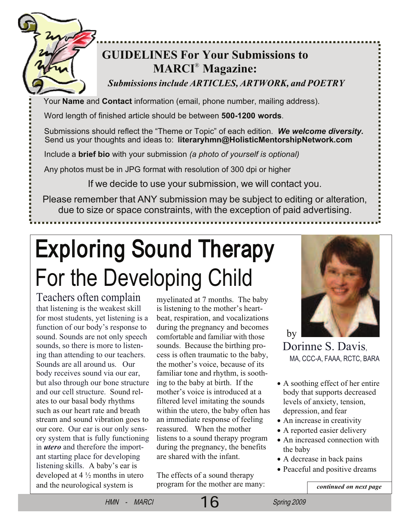

## **GUIDELINES For Your Submissions to MARCI**®  **Magazine:**

*Submissions include ARTICLES, ARTWORK, and POETRY*

Your **Name** and **Contact** information (email, phone number, mailing address).

Word length of finished article should be between **500-1200 words**.

Submissions should reflect the "Theme or Topic" of each edition. *We welcome diversity.* Send us your thoughts and ideas to: **literaryhmn@HolisticMentorshipNetwork.com**

Include a **brief bio** with your submission *(a photo of yourself is optional)*

Any photos must be in JPG format with resolution of 300 dpi or higher

If we decide to use your submission, we will contact you.

Please remember that ANY submission may be subject to editing or alteration, due to size or space constraints, with the exception of paid advertising.

# Exploring Sound Therapy For the Developing Child

Teachers often complain that listening is the weakest skill for most students, yet listening is a function of our body's response to sound. Sounds are not only speech sounds, so there is more to listening than attending to our teachers. Sounds are all around us. Our body receives sound via our ear, but also through our bone structure and our cell structure. Sound relates to our basal body rhythms such as our heart rate and breath stream and sound vibration goes to our core. Our ear is our only sensory system that is fully functioning in *utero* and therefore the important starting place for developing listening skills. A baby's ear is developed at 4 ½ months in utero and the neurological system is

myelinated at 7 months. The baby is listening to the mother's heartbeat, respiration, and vocalizations during the pregnancy and becomes comfortable and familiar with those sounds. Because the birthing process is often traumatic to the baby, the mother's voice, because of its familiar tone and rhythm, is soothing to the baby at birth. If the mother's voice is introduced at a filtered level imitating the sounds within the utero, the baby often has an immediate response of feeling reassured. When the mother listens to a sound therapy program during the pregnancy, the benefits are shared with the infant.

The effects of a sound therapy program for the mother are many:



Dorinne S. Davis, MA, CCC-A, FAAA, RCTC, BARA

- A soothing effect of her entire body that supports decreased levels of anxiety, tension, depression, and fear
- An increase in creativity
- A reported easier delivery
- An increased connection with the baby
- A decrease in back pains
- Peaceful and positive dreams

*continued on next page*

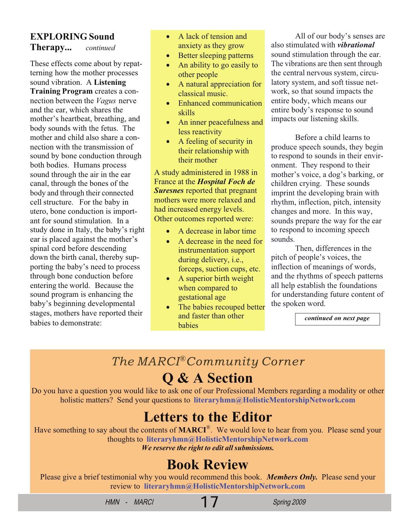### **EXPLORING Sound Therapy...** *continued*

These effects come about by repatterning how the mother processes sound vibration. A **Listening Training Program** creates a connection between the *Vagus* nerve and the ear, which shares the mother's heartbeat, breathing, and body sounds with the fetus. The mother and child also share a connection with the transmission of sound by bone conduction through both bodies. Humans process sound through the air in the ear canal, through the bones of the body and through their connected cell structure. For the baby in utero, bone conduction is important for sound stimulation. In a study done in Italy, the baby's right ear is placed against the mother's spinal cord before descending down the birth canal, thereby supporting the baby's need to process through bone conduction before entering the world. Because the sound program is enhancing the baby's beginning developmental stages, mothers have reported their babies to demonstrate:

- A lack of tension and anxiety as they grow
- Better sleeping patterns
- An ability to go easily to other people
- A natural appreciation for classical music.
- Enhanced communication skills
- An inner peacefulness and less reactivity
- A feeling of security in their relationship with their mother

A study administered in 1988 in France at the *Hospital Foch de Suresnes* reported that pregnant mothers were more relaxed and had increased energy levels. Other outcomes reported were:

- A decrease in labor time
- A decrease in the need for instrumentation support during delivery, i.e., forceps, suction cups, etc.
- A superior birth weight when compared to gestational age
- The babies recouped better and faster than other babies

All of our body's senses are also stimulated with *vibrational* sound stimulation through the ear. The vibrations are then sent through the central nervous system, circulatory system, and soft tissue network, so that sound impacts the entire body, which means our entire body's response to sound impacts our listening skills.

Before a child learns to produce speech sounds, they begin to respond to sounds in their environment. They respond to their mother's voice, a dog's barking, or children crying. These sounds imprint the developing brain with rhythm, inflection, pitch, intensity changes and more. In this way, sounds prepare the way for the ear to respond to incoming speech sounds.

Then, differences in the pitch of people's voices, the inflection of meanings of words, and the rhythms of speech patterns all help establish the foundations for understanding future content of the spoken word.

*continued on next page*

## *The MARCI*®*Community Corner*

## **Q & A Section**

Do you have a question you would like to ask one of our Professional Members regarding a modality or other holistic matters? Send your questions to **literaryhmn@HolisticMentorshipNetwork.com**

## **Letters to the Editor**

Have something to say about the contents of **MARCI**® . We would love to hear from you. Please send your thoughts to **literaryhmn@HolisticMentorshipNetwork.com** *We reserve the right to edit all submissions.*

## **Book Review**

Please give a brief testimonial why you would recommend this book. *Members Only.* Please send your review to **literaryhmn@HolisticMentorshipNetwork.com**

HMN - MARCI 17 Spring 2009

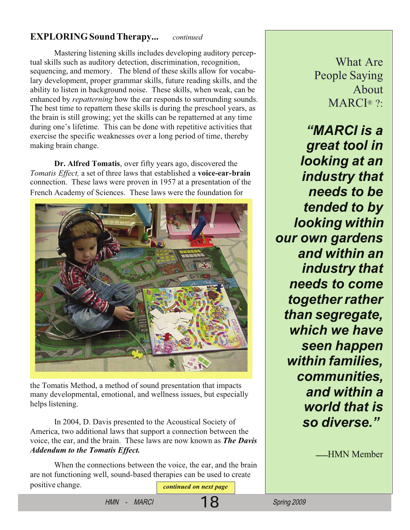#### **EXPLORING Sound Therapy...** *continued*

Mastering listening skills includes developing auditory perceptual skills such as auditory detection, discrimination, recognition, sequencing, and memory. The blend of these skills allow for vocabulary development, proper grammar skills, future reading skills, and the ability to listen in background noise. These skills, when weak, can be enhanced by *repatterning* how the ear responds to surrounding sounds. The best time to repattern these skills is during the preschool years, as the brain is still growing; yet the skills can be repatterned at any time during one's lifetime. This can be done with repetitive activities that exercise the specific weaknesses over a long period of time, thereby making brain change.

**Dr. Alfred Tomatis**, over fifty years ago, discovered the *Tomatis Effect,* a set of three laws that established a **voice-ear-brain** connection. These laws were proven in 1957 at a presentation of the French Academy of Sciences. These laws were the foundation for



the Tomatis Method, a method of sound presentation that impacts many developmental, emotional, and wellness issues, but especially helps listening.

In 2004, D. Davis presented to the Acoustical Society of America, two additional laws that support a connection between the voice, the ear, and the brain. These laws are now known as *The Davis Addendum to the Tomatis Effect.*

When the connections between the voice, the ear, and the brain are not functioning well, sound-based therapies can be used to create positive change. *continued on next page* 

What Are People Saying About MARCI<sup>®</sup> ?:

*"MARCI is a great tool in looking at an industry that needs to be tended to by looking within our own gardens and within an industry that needs to come together rather than segregate, which we have seen happen within families, communities, and within a world that is so diverse."*

----HMN Member

HMN - MARCI 18 Spring 2009